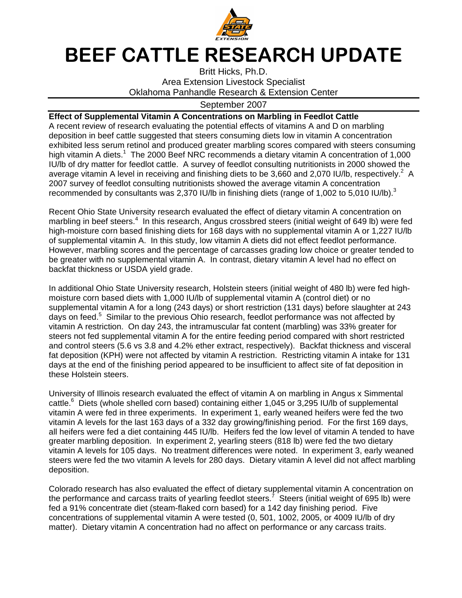

## BEEF CATTLE RESEARCH UPDATE

Britt Hicks, Ph.D. Area Extension Livestock Specialist Oklahoma Panhandle Research & Extension Center

## September 2007

## **Effect of Supplemental Vitamin A Concentrations on Marbling in Feedlot Cattle**

A recent review of research evaluating the potential effects of vitamins A and D on marbling deposition in beef cattle suggested that steers consuming diets low in vitamin A concentration exhibited less serum retinol and produced greater marbling scores compared with steers consuming high vitamin A diets.<sup>1</sup> The 2000 Beef NRC recommends a dietary vitamin A concentration of 1,000 IU/lb of dry matter for feedlot cattle. A survey of feedlot consulting nutritionists in 2000 showed the average vitamin A level in receiving and finishing diets to be 3,660 and 2,070 IU/lb, respectively.<sup>2</sup> A 2007 survey of feedlot consulting nutritionists showed the average vitamin A concentration recommended by consultants was 2,370 IU/lb in finishing diets (range of 1,002 to 5,010 IU/lb).<sup>3</sup>

Recent Ohio State University research evaluated the effect of dietary vitamin A concentration on marbling in beef steers.<sup>4</sup> In this research, Angus crossbred steers (initial weight of 649 lb) were fed high-moisture corn based finishing diets for 168 days with no supplemental vitamin A or 1,227 IU/lb of supplemental vitamin A. In this study, low vitamin A diets did not effect feedlot performance. However, marbling scores and the percentage of carcasses grading low choice or greater tended to be greater with no supplemental vitamin A. In contrast, dietary vitamin A level had no effect on backfat thickness or USDA yield grade.

In additional Ohio State University research, Holstein steers (initial weight of 480 lb) were fed highmoisture corn based diets with 1,000 IU/lb of supplemental vitamin A (control diet) or no supplemental vitamin A for a long (243 days) or short restriction (131 days) before slaughter at 243 days on feed.<sup>5</sup> Similar to the previous Ohio research, feedlot performance was not affected by vitamin A restriction. On day 243, the intramuscular fat content (marbling) was 33% greater for steers not fed supplemental vitamin A for the entire feeding period compared with short restricted and control steers (5.6 vs 3.8 and 4.2% ether extract, respectively). Backfat thickness and visceral fat deposition (KPH) were not affected by vitamin A restriction. Restricting vitamin A intake for 131 days at the end of the finishing period appeared to be insufficient to affect site of fat deposition in these Holstein steers.

University of Illinois research evaluated the effect of vitamin A on marbling in Angus x Simmental cattle.<sup>6</sup> Diets (whole shelled corn based) containing either 1,045 or 3,295 IU/lb of supplemental vitamin A were fed in three experiments. In experiment 1, early weaned heifers were fed the two vitamin A levels for the last 163 days of a 332 day growing/finishing period. For the first 169 days, all heifers were fed a diet containing 445 IU/lb. Heifers fed the low level of vitamin A tended to have greater marbling deposition. In experiment 2, yearling steers (818 lb) were fed the two dietary vitamin A levels for 105 days. No treatment differences were noted. In experiment 3, early weaned steers were fed the two vitamin A levels for 280 days. Dietary vitamin A level did not affect marbling deposition.

Colorado research has also evaluated the effect of dietary supplemental vitamin A concentration on the performance and carcass traits of yearling feedlot steers.<sup>7</sup> Steers (initial weight of 695 lb) were fed a 91% concentrate diet (steam-flaked corn based) for a 142 day finishing period. Five concentrations of supplemental vitamin A were tested (0, 501, 1002, 2005, or 4009 IU/lb of dry matter). Dietary vitamin A concentration had no affect on performance or any carcass traits.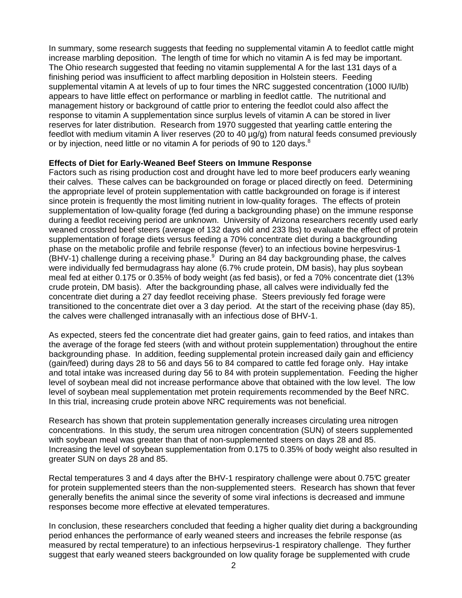In summary, some research suggests that feeding no supplemental vitamin A to feedlot cattle might increase marbling deposition. The length of time for which no vitamin A is fed may be important. The Ohio research suggested that feeding no vitamin supplemental A for the last 131 days of a finishing period was insufficient to affect marbling deposition in Holstein steers. Feeding supplemental vitamin A at levels of up to four times the NRC suggested concentration (1000 IU/lb) appears to have little effect on performance or marbling in feedlot cattle. The nutritional and management history or background of cattle prior to entering the feedlot could also affect the response to vitamin A supplementation since surplus levels of vitamin A can be stored in liver reserves for later distribution. Research from 1970 suggested that yearling cattle entering the feedlot with medium vitamin A liver reserves (20 to 40 µg/g) from natural feeds consumed previously or by injection, need little or no vitamin A for periods of 90 to 120 days.<sup>8</sup>

## **Effects of Diet for Early-Weaned Beef Steers on Immune Response**

Factors such as rising production cost and drought have led to more beef producers early weaning their calves. These calves can be backgrounded on forage or placed directly on feed. Determining the appropriate level of protein supplementation with cattle backgrounded on forage is if interest since protein is frequently the most limiting nutrient in low-quality forages. The effects of protein supplementation of low-quality forage (fed during a backgrounding phase) on the immune response during a feedlot receiving period are unknown. University of Arizona researchers recently used early weaned crossbred beef steers (average of 132 days old and 233 lbs) to evaluate the effect of protein supplementation of forage diets versus feeding a 70% concentrate diet during a backgrounding phase on the metabolic profile and febrile response (fever) to an infectious bovine herpesvirus-1  $(BHV-1)$  challenge during a receiving phase.  $9$  During an 84 day backgrounding phase, the calves were individually fed bermudagrass hay alone (6.7% crude protein, DM basis), hay plus soybean meal fed at either 0.175 or 0.35% of body weight (as fed basis), or fed a 70% concentrate diet (13% crude protein, DM basis). After the backgrounding phase, all calves were individually fed the concentrate diet during a 27 day feedlot receiving phase. Steers previously fed forage were transitioned to the concentrate diet over a 3 day period. At the start of the receiving phase (day 85), the calves were challenged intranasally with an infectious dose of BHV-1.

As expected, steers fed the concentrate diet had greater gains, gain to feed ratios, and intakes than the average of the forage fed steers (with and without protein supplementation) throughout the entire backgrounding phase. In addition, feeding supplemental protein increased daily gain and efficiency (gain/feed) during days 28 to 56 and days 56 to 84 compared to cattle fed forage only. Hay intake and total intake was increased during day 56 to 84 with protein supplementation. Feeding the higher level of soybean meal did not increase performance above that obtained with the low level. The low level of soybean meal supplementation met protein requirements recommended by the Beef NRC. In this trial, increasing crude protein above NRC requirements was not beneficial.

Research has shown that protein supplementation generally increases circulating urea nitrogen concentrations. In this study, the serum urea nitrogen concentration (SUN) of steers supplemented with soybean meal was greater than that of non-supplemented steers on days 28 and 85. Increasing the level of soybean supplementation from 0.175 to 0.35% of body weight also resulted in greater SUN on days 28 and 85.

Rectal temperatures 3 and 4 days after the BHV-1 respiratory challenge were about 0.75°C greater for protein supplemented steers than the non-supplemented steers. Research has shown that fever generally benefits the animal since the severity of some viral infections is decreased and immune responses become more effective at elevated temperatures.

In conclusion, these researchers concluded that feeding a higher quality diet during a backgrounding period enhances the performance of early weaned steers and increases the febrile response (as measured by rectal temperature) to an infectious herpsevirus-1 respiratory challenge. They further suggest that early weaned steers backgrounded on low quality forage be supplemented with crude